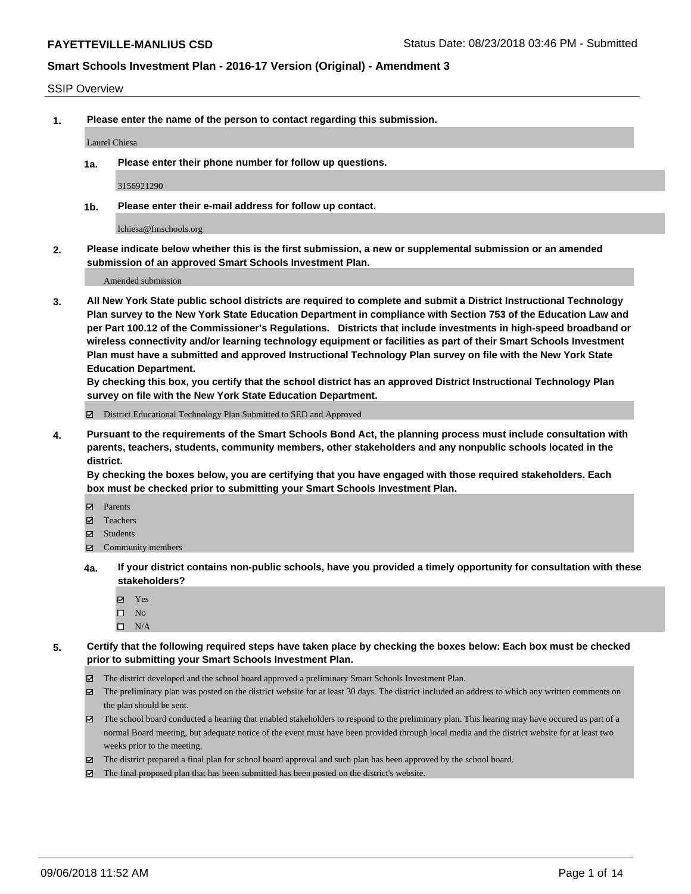#### SSIP Overview

**1. Please enter the name of the person to contact regarding this submission.**

#### Laurel Chiesa

**1a. Please enter their phone number for follow up questions.**

3156921290

**1b. Please enter their e-mail address for follow up contact.**

lchiesa@fmschools.org

**2. Please indicate below whether this is the first submission, a new or supplemental submission or an amended submission of an approved Smart Schools Investment Plan.**

Amended submission

**3. All New York State public school districts are required to complete and submit a District Instructional Technology Plan survey to the New York State Education Department in compliance with Section 753 of the Education Law and per Part 100.12 of the Commissioner's Regulations. Districts that include investments in high-speed broadband or wireless connectivity and/or learning technology equipment or facilities as part of their Smart Schools Investment Plan must have a submitted and approved Instructional Technology Plan survey on file with the New York State Education Department.** 

**By checking this box, you certify that the school district has an approved District Instructional Technology Plan survey on file with the New York State Education Department.**

District Educational Technology Plan Submitted to SED and Approved

**4. Pursuant to the requirements of the Smart Schools Bond Act, the planning process must include consultation with parents, teachers, students, community members, other stakeholders and any nonpublic schools located in the district.** 

**By checking the boxes below, you are certifying that you have engaged with those required stakeholders. Each box must be checked prior to submitting your Smart Schools Investment Plan.**

- **Parents**
- Teachers
- **☑** Students
- **☑** Community members
- **4a. If your district contains non-public schools, have you provided a timely opportunity for consultation with these stakeholders?**
	- **Ø** Yes
	- $\square$  No
	- $\square$  N/A
- **5. Certify that the following required steps have taken place by checking the boxes below: Each box must be checked prior to submitting your Smart Schools Investment Plan.**
	- The district developed and the school board approved a preliminary Smart Schools Investment Plan.
	- $\boxtimes$  The preliminary plan was posted on the district website for at least 30 days. The district included an address to which any written comments on the plan should be sent.
	- The school board conducted a hearing that enabled stakeholders to respond to the preliminary plan. This hearing may have occured as part of a normal Board meeting, but adequate notice of the event must have been provided through local media and the district website for at least two weeks prior to the meeting.
	- The district prepared a final plan for school board approval and such plan has been approved by the school board.
	- The final proposed plan that has been submitted has been posted on the district's website.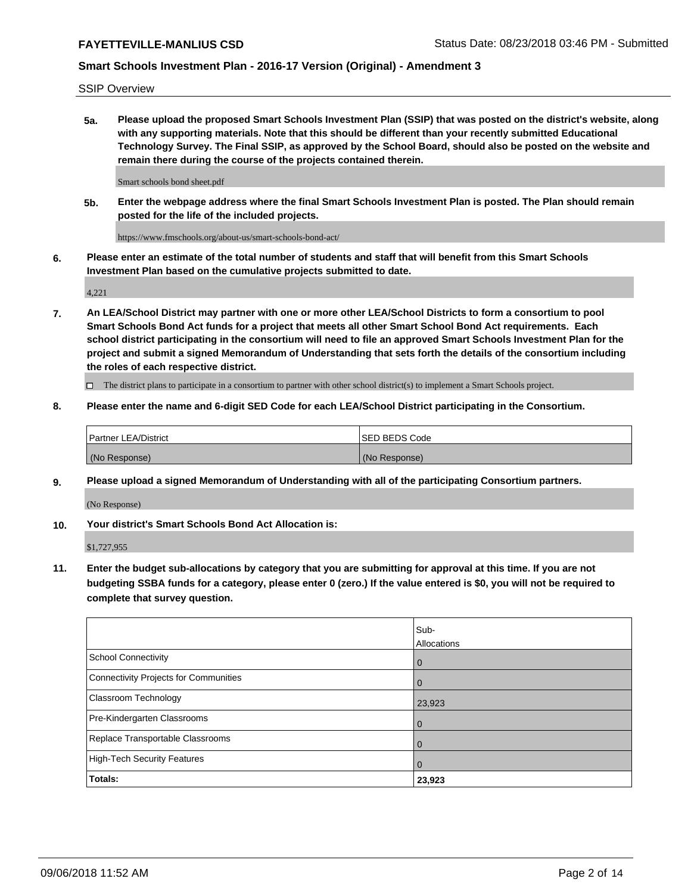SSIP Overview

**5a. Please upload the proposed Smart Schools Investment Plan (SSIP) that was posted on the district's website, along with any supporting materials. Note that this should be different than your recently submitted Educational Technology Survey. The Final SSIP, as approved by the School Board, should also be posted on the website and remain there during the course of the projects contained therein.**

Smart schools bond sheet.pdf

**5b. Enter the webpage address where the final Smart Schools Investment Plan is posted. The Plan should remain posted for the life of the included projects.**

https://www.fmschools.org/about-us/smart-schools-bond-act/

**6. Please enter an estimate of the total number of students and staff that will benefit from this Smart Schools Investment Plan based on the cumulative projects submitted to date.**

4,221

**7. An LEA/School District may partner with one or more other LEA/School Districts to form a consortium to pool Smart Schools Bond Act funds for a project that meets all other Smart School Bond Act requirements. Each school district participating in the consortium will need to file an approved Smart Schools Investment Plan for the project and submit a signed Memorandum of Understanding that sets forth the details of the consortium including the roles of each respective district.**

 $\Box$  The district plans to participate in a consortium to partner with other school district(s) to implement a Smart Schools project.

### **8. Please enter the name and 6-digit SED Code for each LEA/School District participating in the Consortium.**

| Partner LEA/District | <b>ISED BEDS Code</b> |
|----------------------|-----------------------|
| (No Response)        | (No Response)         |

### **9. Please upload a signed Memorandum of Understanding with all of the participating Consortium partners.**

(No Response)

**10. Your district's Smart Schools Bond Act Allocation is:**

\$1,727,955

**11. Enter the budget sub-allocations by category that you are submitting for approval at this time. If you are not budgeting SSBA funds for a category, please enter 0 (zero.) If the value entered is \$0, you will not be required to complete that survey question.**

|                                       | Sub-<br><b>Allocations</b> |
|---------------------------------------|----------------------------|
| School Connectivity                   | l 0                        |
| Connectivity Projects for Communities | $\Omega$                   |
| <b>Classroom Technology</b>           | 23,923                     |
| Pre-Kindergarten Classrooms           | $\overline{0}$             |
| Replace Transportable Classrooms      | $\Omega$                   |
| High-Tech Security Features           | 0                          |
| Totals:                               | 23,923                     |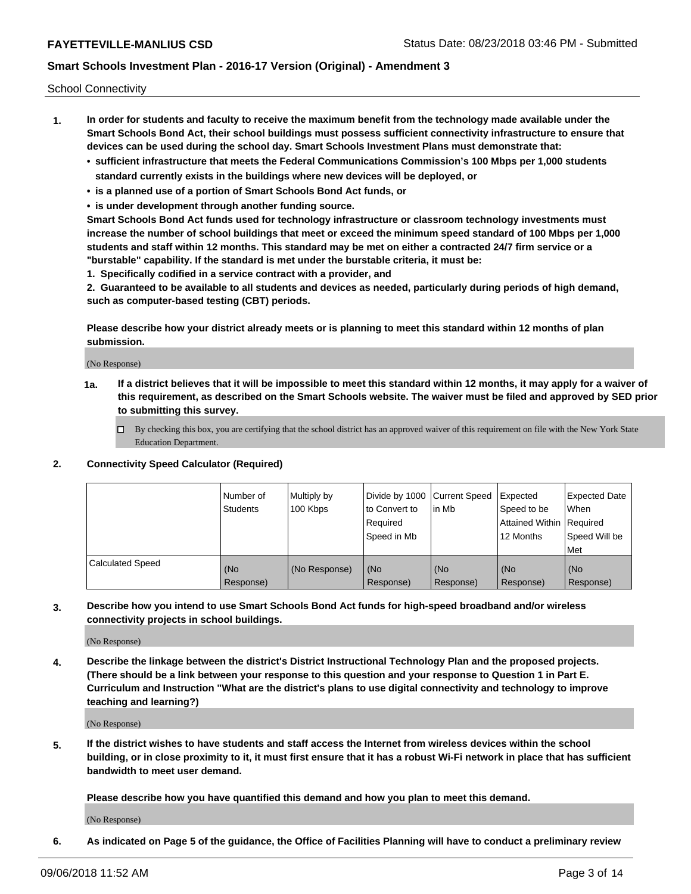School Connectivity

- **1. In order for students and faculty to receive the maximum benefit from the technology made available under the Smart Schools Bond Act, their school buildings must possess sufficient connectivity infrastructure to ensure that devices can be used during the school day. Smart Schools Investment Plans must demonstrate that:**
	- **• sufficient infrastructure that meets the Federal Communications Commission's 100 Mbps per 1,000 students standard currently exists in the buildings where new devices will be deployed, or**
	- **• is a planned use of a portion of Smart Schools Bond Act funds, or**
	- **• is under development through another funding source.**

**Smart Schools Bond Act funds used for technology infrastructure or classroom technology investments must increase the number of school buildings that meet or exceed the minimum speed standard of 100 Mbps per 1,000 students and staff within 12 months. This standard may be met on either a contracted 24/7 firm service or a "burstable" capability. If the standard is met under the burstable criteria, it must be:**

**1. Specifically codified in a service contract with a provider, and**

**2. Guaranteed to be available to all students and devices as needed, particularly during periods of high demand, such as computer-based testing (CBT) periods.**

**Please describe how your district already meets or is planning to meet this standard within 12 months of plan submission.**

(No Response)

**1a. If a district believes that it will be impossible to meet this standard within 12 months, it may apply for a waiver of this requirement, as described on the Smart Schools website. The waiver must be filed and approved by SED prior to submitting this survey.**

 $\Box$  By checking this box, you are certifying that the school district has an approved waiver of this requirement on file with the New York State Education Department.

### **2. Connectivity Speed Calculator (Required)**

|                         | Number of<br>Students | Multiply by<br>100 Kbps | Divide by 1000 Current Speed<br>to Convert to<br>Required<br>Speed in Mb | l in Mb          | Expected<br>Speed to be<br>Attained Within   Required<br>12 Months | <b>Expected Date</b><br>When<br>Speed Will be<br><b>Met</b> |
|-------------------------|-----------------------|-------------------------|--------------------------------------------------------------------------|------------------|--------------------------------------------------------------------|-------------------------------------------------------------|
| <b>Calculated Speed</b> | (No<br>Response)      | (No Response)           | (No<br>Response)                                                         | (No<br>Response) | (No<br>Response)                                                   | (No<br>Response)                                            |

**3. Describe how you intend to use Smart Schools Bond Act funds for high-speed broadband and/or wireless connectivity projects in school buildings.**

(No Response)

**4. Describe the linkage between the district's District Instructional Technology Plan and the proposed projects. (There should be a link between your response to this question and your response to Question 1 in Part E. Curriculum and Instruction "What are the district's plans to use digital connectivity and technology to improve teaching and learning?)**

(No Response)

**5. If the district wishes to have students and staff access the Internet from wireless devices within the school building, or in close proximity to it, it must first ensure that it has a robust Wi-Fi network in place that has sufficient bandwidth to meet user demand.**

**Please describe how you have quantified this demand and how you plan to meet this demand.**

(No Response)

**6. As indicated on Page 5 of the guidance, the Office of Facilities Planning will have to conduct a preliminary review**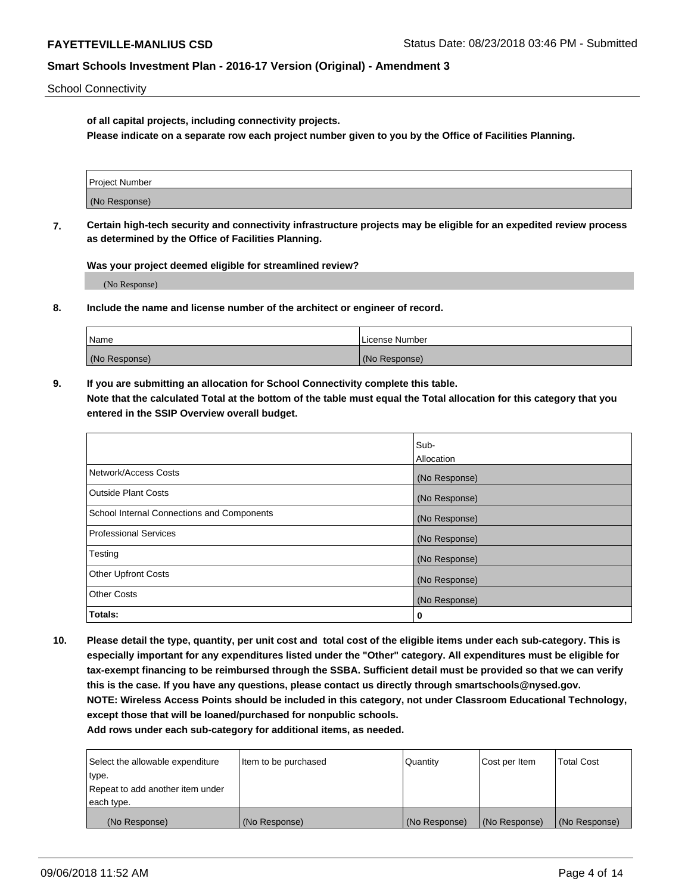School Connectivity

**of all capital projects, including connectivity projects.**

**Please indicate on a separate row each project number given to you by the Office of Facilities Planning.**

| Project Number |  |
|----------------|--|
|                |  |
| (No Response)  |  |
|                |  |

**7. Certain high-tech security and connectivity infrastructure projects may be eligible for an expedited review process as determined by the Office of Facilities Planning.**

**Was your project deemed eligible for streamlined review?**

(No Response)

**8. Include the name and license number of the architect or engineer of record.**

| Name          | License Number |
|---------------|----------------|
| (No Response) | (No Response)  |

**9. If you are submitting an allocation for School Connectivity complete this table. Note that the calculated Total at the bottom of the table must equal the Total allocation for this category that you entered in the SSIP Overview overall budget.** 

|                                            | Sub-          |
|--------------------------------------------|---------------|
|                                            | Allocation    |
| Network/Access Costs                       | (No Response) |
| Outside Plant Costs                        | (No Response) |
| School Internal Connections and Components | (No Response) |
| <b>Professional Services</b>               | (No Response) |
| Testing                                    | (No Response) |
| <b>Other Upfront Costs</b>                 | (No Response) |
| <b>Other Costs</b>                         | (No Response) |
| Totals:                                    | 0             |

**10. Please detail the type, quantity, per unit cost and total cost of the eligible items under each sub-category. This is especially important for any expenditures listed under the "Other" category. All expenditures must be eligible for tax-exempt financing to be reimbursed through the SSBA. Sufficient detail must be provided so that we can verify this is the case. If you have any questions, please contact us directly through smartschools@nysed.gov. NOTE: Wireless Access Points should be included in this category, not under Classroom Educational Technology, except those that will be loaned/purchased for nonpublic schools.**

| Select the allowable expenditure | Item to be purchased | Quantity      | Cost per Item | <b>Total Cost</b> |
|----------------------------------|----------------------|---------------|---------------|-------------------|
| type.                            |                      |               |               |                   |
| Repeat to add another item under |                      |               |               |                   |
| each type.                       |                      |               |               |                   |
| (No Response)                    | (No Response)        | (No Response) | (No Response) | (No Response)     |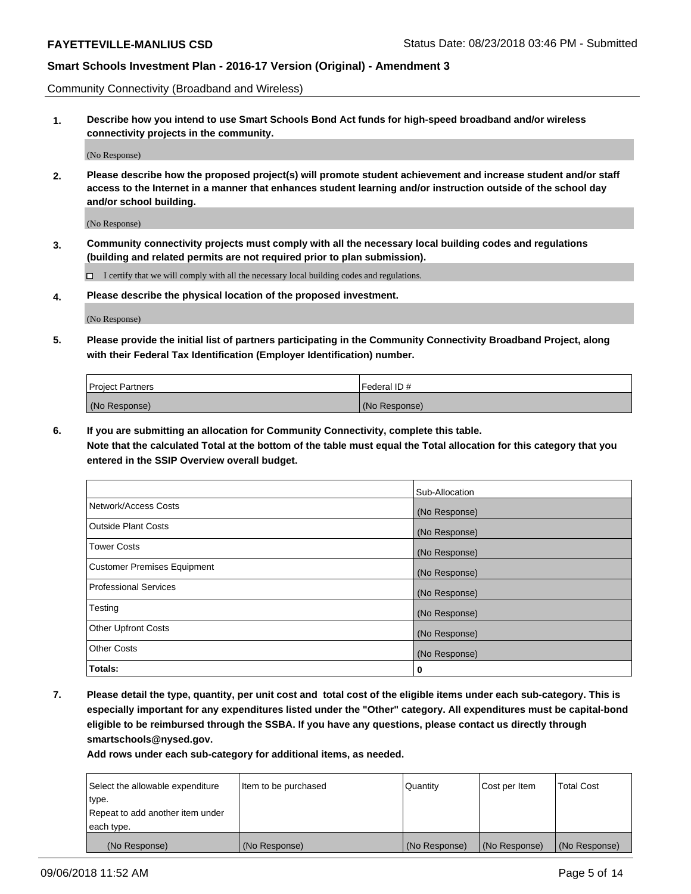Community Connectivity (Broadband and Wireless)

**1. Describe how you intend to use Smart Schools Bond Act funds for high-speed broadband and/or wireless connectivity projects in the community.**

(No Response)

**2. Please describe how the proposed project(s) will promote student achievement and increase student and/or staff access to the Internet in a manner that enhances student learning and/or instruction outside of the school day and/or school building.**

(No Response)

**3. Community connectivity projects must comply with all the necessary local building codes and regulations (building and related permits are not required prior to plan submission).**

 $\Box$  I certify that we will comply with all the necessary local building codes and regulations.

**4. Please describe the physical location of the proposed investment.**

(No Response)

**5. Please provide the initial list of partners participating in the Community Connectivity Broadband Project, along with their Federal Tax Identification (Employer Identification) number.**

| <b>Project Partners</b> | l Federal ID # |
|-------------------------|----------------|
| (No Response)           | (No Response)  |

**6. If you are submitting an allocation for Community Connectivity, complete this table.**

**Note that the calculated Total at the bottom of the table must equal the Total allocation for this category that you entered in the SSIP Overview overall budget.**

|                              | Sub-Allocation |
|------------------------------|----------------|
| Network/Access Costs         | (No Response)  |
| Outside Plant Costs          | (No Response)  |
| <b>Tower Costs</b>           | (No Response)  |
| Customer Premises Equipment  | (No Response)  |
| <b>Professional Services</b> | (No Response)  |
| Testing                      | (No Response)  |
| <b>Other Upfront Costs</b>   | (No Response)  |
| <b>Other Costs</b>           | (No Response)  |
| Totals:                      | 0              |

**7. Please detail the type, quantity, per unit cost and total cost of the eligible items under each sub-category. This is especially important for any expenditures listed under the "Other" category. All expenditures must be capital-bond eligible to be reimbursed through the SSBA. If you have any questions, please contact us directly through smartschools@nysed.gov.**

| Select the allowable expenditure | Item to be purchased | Quantity      | Cost per Item | <b>Total Cost</b> |
|----------------------------------|----------------------|---------------|---------------|-------------------|
| type.                            |                      |               |               |                   |
| Repeat to add another item under |                      |               |               |                   |
| each type.                       |                      |               |               |                   |
| (No Response)                    | (No Response)        | (No Response) | (No Response) | (No Response)     |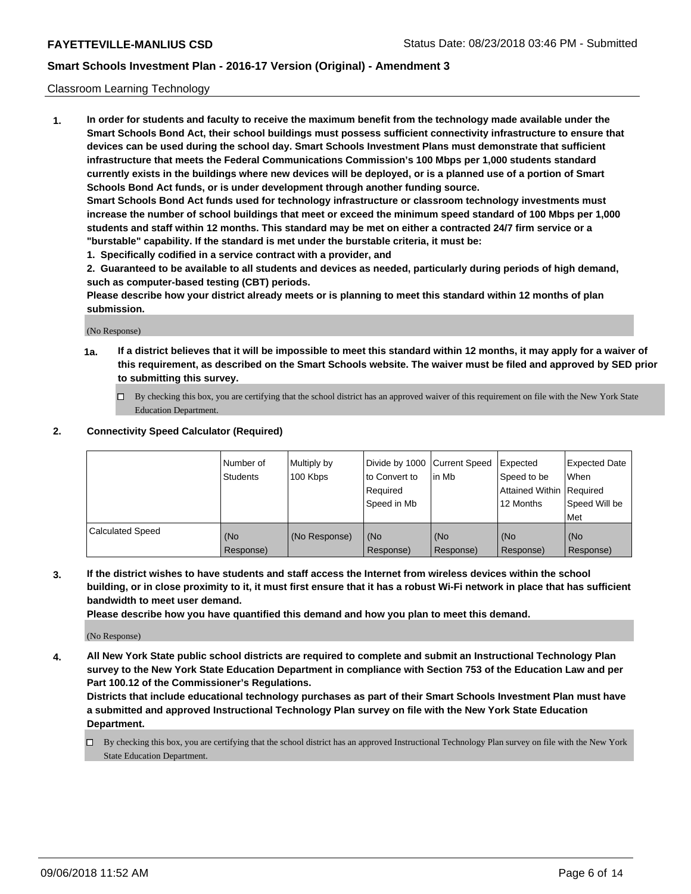### Classroom Learning Technology

**1. In order for students and faculty to receive the maximum benefit from the technology made available under the Smart Schools Bond Act, their school buildings must possess sufficient connectivity infrastructure to ensure that devices can be used during the school day. Smart Schools Investment Plans must demonstrate that sufficient infrastructure that meets the Federal Communications Commission's 100 Mbps per 1,000 students standard currently exists in the buildings where new devices will be deployed, or is a planned use of a portion of Smart Schools Bond Act funds, or is under development through another funding source. Smart Schools Bond Act funds used for technology infrastructure or classroom technology investments must increase the number of school buildings that meet or exceed the minimum speed standard of 100 Mbps per 1,000**

**students and staff within 12 months. This standard may be met on either a contracted 24/7 firm service or a "burstable" capability. If the standard is met under the burstable criteria, it must be:**

**1. Specifically codified in a service contract with a provider, and**

**2. Guaranteed to be available to all students and devices as needed, particularly during periods of high demand, such as computer-based testing (CBT) periods.**

**Please describe how your district already meets or is planning to meet this standard within 12 months of plan submission.**

(No Response)

- **1a. If a district believes that it will be impossible to meet this standard within 12 months, it may apply for a waiver of this requirement, as described on the Smart Schools website. The waiver must be filed and approved by SED prior to submitting this survey.**
	- $\Box$  By checking this box, you are certifying that the school district has an approved waiver of this requirement on file with the New York State Education Department.

### **2. Connectivity Speed Calculator (Required)**

|                         | l Number of<br><b>Students</b> | Multiply by<br>100 Kbps | Divide by 1000 Current Speed<br>to Convert to<br>Required<br>Speed in Mb | lin Mb           | Expected<br>Speed to be<br>Attained Within   Required<br>12 Months | <b>Expected Date</b><br>When<br>Speed Will be<br>Met |
|-------------------------|--------------------------------|-------------------------|--------------------------------------------------------------------------|------------------|--------------------------------------------------------------------|------------------------------------------------------|
| <b>Calculated Speed</b> | (No<br>Response)               | (No Response)           | (No<br>Response)                                                         | (No<br>Response) | (No<br>Response)                                                   | (No<br>Response)                                     |

**3. If the district wishes to have students and staff access the Internet from wireless devices within the school building, or in close proximity to it, it must first ensure that it has a robust Wi-Fi network in place that has sufficient bandwidth to meet user demand.**

**Please describe how you have quantified this demand and how you plan to meet this demand.**

(No Response)

**4. All New York State public school districts are required to complete and submit an Instructional Technology Plan survey to the New York State Education Department in compliance with Section 753 of the Education Law and per Part 100.12 of the Commissioner's Regulations.**

**Districts that include educational technology purchases as part of their Smart Schools Investment Plan must have a submitted and approved Instructional Technology Plan survey on file with the New York State Education Department.**

 $\Box$  By checking this box, you are certifying that the school district has an approved Instructional Technology Plan survey on file with the New York State Education Department.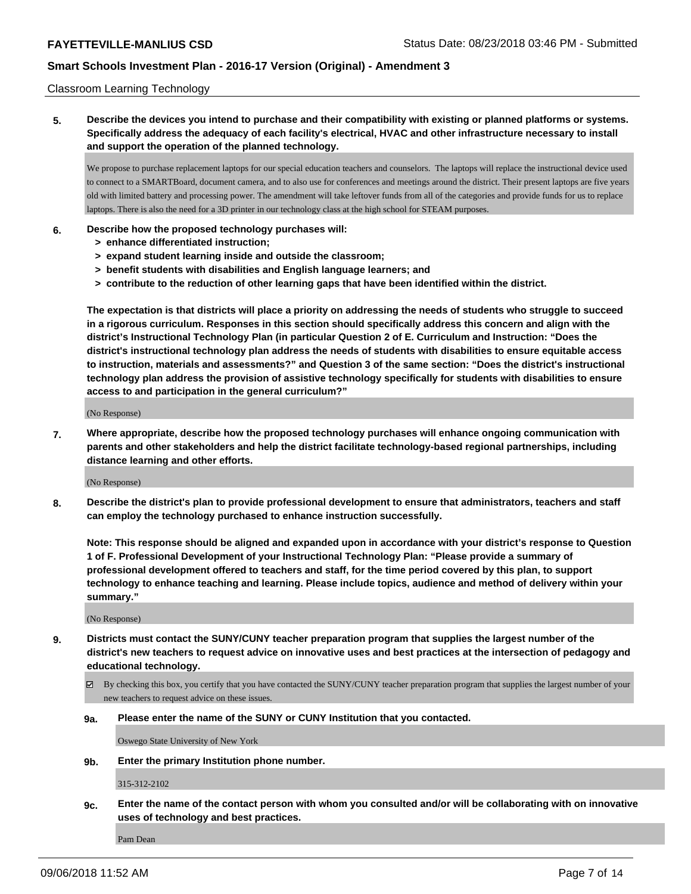#### Classroom Learning Technology

## **5. Describe the devices you intend to purchase and their compatibility with existing or planned platforms or systems. Specifically address the adequacy of each facility's electrical, HVAC and other infrastructure necessary to install and support the operation of the planned technology.**

We propose to purchase replacement laptops for our special education teachers and counselors. The laptops will replace the instructional device used to connect to a SMARTBoard, document camera, and to also use for conferences and meetings around the district. Their present laptops are five years old with limited battery and processing power. The amendment will take leftover funds from all of the categories and provide funds for us to replace laptops. There is also the need for a 3D printer in our technology class at the high school for STEAM purposes.

#### **6. Describe how the proposed technology purchases will:**

- **> enhance differentiated instruction;**
- **> expand student learning inside and outside the classroom;**
- **> benefit students with disabilities and English language learners; and**
- **> contribute to the reduction of other learning gaps that have been identified within the district.**

**The expectation is that districts will place a priority on addressing the needs of students who struggle to succeed in a rigorous curriculum. Responses in this section should specifically address this concern and align with the district's Instructional Technology Plan (in particular Question 2 of E. Curriculum and Instruction: "Does the district's instructional technology plan address the needs of students with disabilities to ensure equitable access to instruction, materials and assessments?" and Question 3 of the same section: "Does the district's instructional technology plan address the provision of assistive technology specifically for students with disabilities to ensure access to and participation in the general curriculum?"**

(No Response)

**7. Where appropriate, describe how the proposed technology purchases will enhance ongoing communication with parents and other stakeholders and help the district facilitate technology-based regional partnerships, including distance learning and other efforts.**

(No Response)

**8. Describe the district's plan to provide professional development to ensure that administrators, teachers and staff can employ the technology purchased to enhance instruction successfully.**

**Note: This response should be aligned and expanded upon in accordance with your district's response to Question 1 of F. Professional Development of your Instructional Technology Plan: "Please provide a summary of professional development offered to teachers and staff, for the time period covered by this plan, to support technology to enhance teaching and learning. Please include topics, audience and method of delivery within your summary."**

(No Response)

- **9. Districts must contact the SUNY/CUNY teacher preparation program that supplies the largest number of the district's new teachers to request advice on innovative uses and best practices at the intersection of pedagogy and educational technology.**
	- By checking this box, you certify that you have contacted the SUNY/CUNY teacher preparation program that supplies the largest number of your new teachers to request advice on these issues.
	- **9a. Please enter the name of the SUNY or CUNY Institution that you contacted.**

Oswego State University of New York

**9b. Enter the primary Institution phone number.**

315-312-2102

**9c. Enter the name of the contact person with whom you consulted and/or will be collaborating with on innovative uses of technology and best practices.**

Pam Dean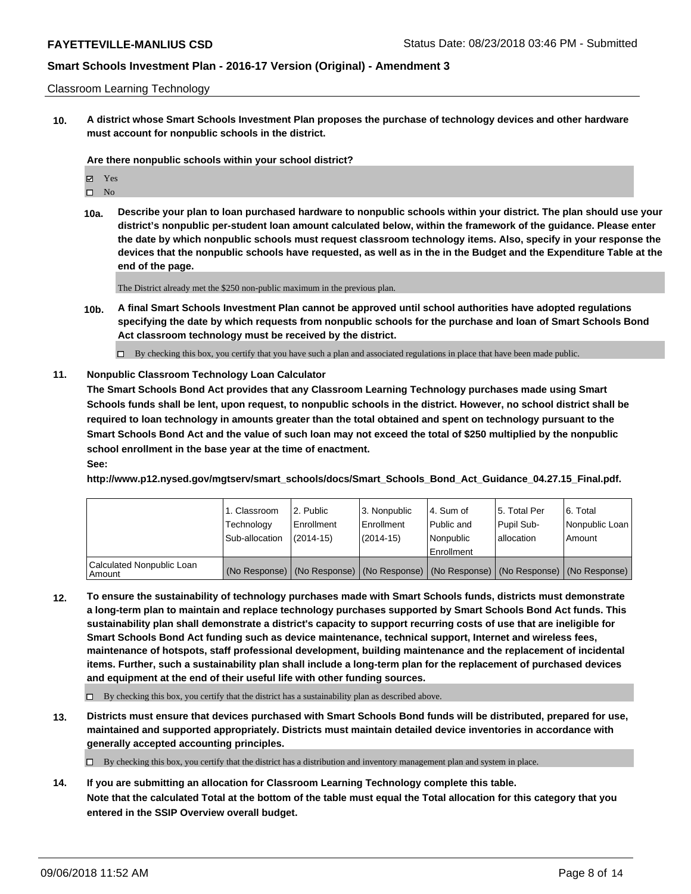#### Classroom Learning Technology

**10. A district whose Smart Schools Investment Plan proposes the purchase of technology devices and other hardware must account for nonpublic schools in the district.**

**Are there nonpublic schools within your school district?**

| ☑ | Yes            |
|---|----------------|
| п | N <sub>0</sub> |

**10a. Describe your plan to loan purchased hardware to nonpublic schools within your district. The plan should use your district's nonpublic per-student loan amount calculated below, within the framework of the guidance. Please enter the date by which nonpublic schools must request classroom technology items. Also, specify in your response the devices that the nonpublic schools have requested, as well as in the in the Budget and the Expenditure Table at the end of the page.**

The District already met the \$250 non-public maximum in the previous plan.

**10b. A final Smart Schools Investment Plan cannot be approved until school authorities have adopted regulations specifying the date by which requests from nonpublic schools for the purchase and loan of Smart Schools Bond Act classroom technology must be received by the district.**

 $\Box$  By checking this box, you certify that you have such a plan and associated regulations in place that have been made public.

### **11. Nonpublic Classroom Technology Loan Calculator**

**The Smart Schools Bond Act provides that any Classroom Learning Technology purchases made using Smart Schools funds shall be lent, upon request, to nonpublic schools in the district. However, no school district shall be required to loan technology in amounts greater than the total obtained and spent on technology pursuant to the Smart Schools Bond Act and the value of such loan may not exceed the total of \$250 multiplied by the nonpublic school enrollment in the base year at the time of enactment.**

### **See:**

**http://www.p12.nysed.gov/mgtserv/smart\_schools/docs/Smart\_Schools\_Bond\_Act\_Guidance\_04.27.15\_Final.pdf.**

|                                       | 1. Classroom<br>Technology<br>Sub-allocation | l 2. Public<br>Enrollment<br>(2014-15) | l 3. Nonpublic<br>Enrollment<br>(2014-15) | 4. Sum of<br>Public and<br>Nonpublic<br>Enrollment | 15. Total Per<br>Pupil Sub-<br>lallocation | 6. Total<br>Nonpublic Loan<br>Amount                                                          |
|---------------------------------------|----------------------------------------------|----------------------------------------|-------------------------------------------|----------------------------------------------------|--------------------------------------------|-----------------------------------------------------------------------------------------------|
| Calculated Nonpublic Loan<br>l Amount |                                              |                                        |                                           |                                                    |                                            | (No Response)   (No Response)   (No Response)   (No Response)   (No Response)   (No Response) |

**12. To ensure the sustainability of technology purchases made with Smart Schools funds, districts must demonstrate a long-term plan to maintain and replace technology purchases supported by Smart Schools Bond Act funds. This sustainability plan shall demonstrate a district's capacity to support recurring costs of use that are ineligible for Smart Schools Bond Act funding such as device maintenance, technical support, Internet and wireless fees, maintenance of hotspots, staff professional development, building maintenance and the replacement of incidental items. Further, such a sustainability plan shall include a long-term plan for the replacement of purchased devices and equipment at the end of their useful life with other funding sources.**

 $\Box$  By checking this box, you certify that the district has a sustainability plan as described above.

**13. Districts must ensure that devices purchased with Smart Schools Bond funds will be distributed, prepared for use, maintained and supported appropriately. Districts must maintain detailed device inventories in accordance with generally accepted accounting principles.**

By checking this box, you certify that the district has a distribution and inventory management plan and system in place.

**14. If you are submitting an allocation for Classroom Learning Technology complete this table. Note that the calculated Total at the bottom of the table must equal the Total allocation for this category that you entered in the SSIP Overview overall budget.**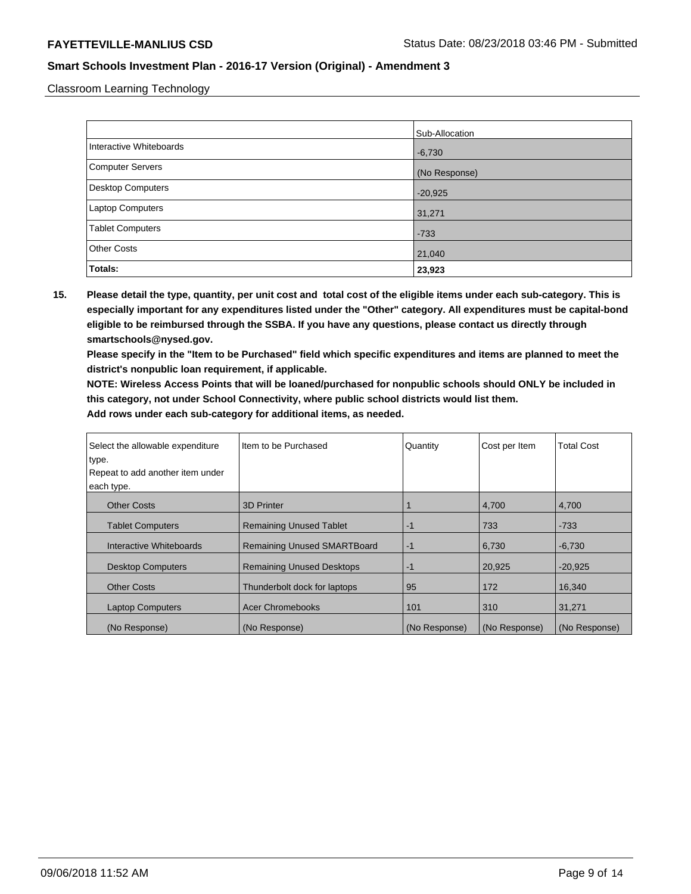Classroom Learning Technology

|                          | Sub-Allocation |
|--------------------------|----------------|
| Interactive Whiteboards  | $-6,730$       |
| Computer Servers         | (No Response)  |
| <b>Desktop Computers</b> | $-20,925$      |
| <b>Laptop Computers</b>  | 31,271         |
| <b>Tablet Computers</b>  | $-733$         |
| <b>Other Costs</b>       | 21,040         |
| Totals:                  | 23,923         |

**15. Please detail the type, quantity, per unit cost and total cost of the eligible items under each sub-category. This is especially important for any expenditures listed under the "Other" category. All expenditures must be capital-bond eligible to be reimbursed through the SSBA. If you have any questions, please contact us directly through smartschools@nysed.gov.**

**Please specify in the "Item to be Purchased" field which specific expenditures and items are planned to meet the district's nonpublic loan requirement, if applicable.**

**NOTE: Wireless Access Points that will be loaned/purchased for nonpublic schools should ONLY be included in this category, not under School Connectivity, where public school districts would list them.**

| Select the allowable expenditure<br>type. | I Item to be Purchased             | Quantity      | Cost per Item | <b>Total Cost</b> |
|-------------------------------------------|------------------------------------|---------------|---------------|-------------------|
| Repeat to add another item under          |                                    |               |               |                   |
| each type.                                |                                    |               |               |                   |
| <b>Other Costs</b>                        | 3D Printer                         |               | 4,700         | 4,700             |
| <b>Tablet Computers</b>                   | <b>Remaining Unused Tablet</b>     | $-1$          | 733           | $-733$            |
| Interactive Whiteboards                   | <b>Remaining Unused SMARTBoard</b> | $-1$          | 6,730         | $-6,730$          |
| <b>Desktop Computers</b>                  | <b>Remaining Unused Desktops</b>   | $-1$          | 20.925        | $-20.925$         |
| <b>Other Costs</b>                        | Thunderbolt dock for laptops       | 95            | 172           | 16,340            |
| <b>Laptop Computers</b>                   | <b>Acer Chromebooks</b>            | 101           | 310           | 31,271            |
| (No Response)                             | (No Response)                      | (No Response) | (No Response) | (No Response)     |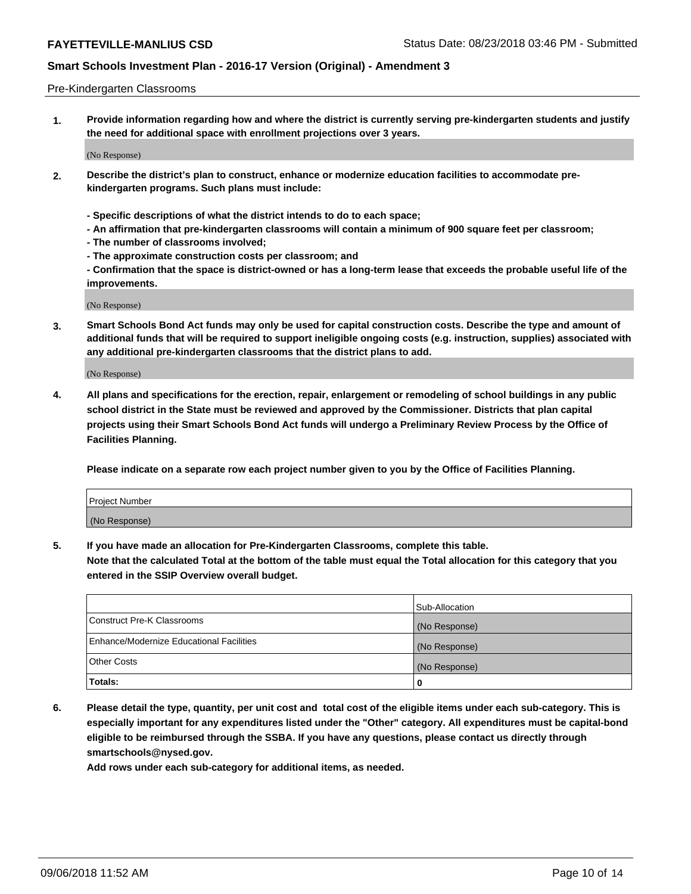#### Pre-Kindergarten Classrooms

**1. Provide information regarding how and where the district is currently serving pre-kindergarten students and justify the need for additional space with enrollment projections over 3 years.**

(No Response)

- **2. Describe the district's plan to construct, enhance or modernize education facilities to accommodate prekindergarten programs. Such plans must include:**
	- **Specific descriptions of what the district intends to do to each space;**
	- **An affirmation that pre-kindergarten classrooms will contain a minimum of 900 square feet per classroom;**
	- **The number of classrooms involved;**
	- **The approximate construction costs per classroom; and**
	- **Confirmation that the space is district-owned or has a long-term lease that exceeds the probable useful life of the improvements.**

(No Response)

**3. Smart Schools Bond Act funds may only be used for capital construction costs. Describe the type and amount of additional funds that will be required to support ineligible ongoing costs (e.g. instruction, supplies) associated with any additional pre-kindergarten classrooms that the district plans to add.**

(No Response)

**4. All plans and specifications for the erection, repair, enlargement or remodeling of school buildings in any public school district in the State must be reviewed and approved by the Commissioner. Districts that plan capital projects using their Smart Schools Bond Act funds will undergo a Preliminary Review Process by the Office of Facilities Planning.**

**Please indicate on a separate row each project number given to you by the Office of Facilities Planning.**

| Project Number |  |
|----------------|--|
| (No Response)  |  |
|                |  |

**5. If you have made an allocation for Pre-Kindergarten Classrooms, complete this table.**

**Note that the calculated Total at the bottom of the table must equal the Total allocation for this category that you entered in the SSIP Overview overall budget.**

|                                          | Sub-Allocation |
|------------------------------------------|----------------|
| Construct Pre-K Classrooms               | (No Response)  |
| Enhance/Modernize Educational Facilities | (No Response)  |
| <b>Other Costs</b>                       | (No Response)  |
| Totals:                                  | 0              |

**6. Please detail the type, quantity, per unit cost and total cost of the eligible items under each sub-category. This is especially important for any expenditures listed under the "Other" category. All expenditures must be capital-bond eligible to be reimbursed through the SSBA. If you have any questions, please contact us directly through smartschools@nysed.gov.**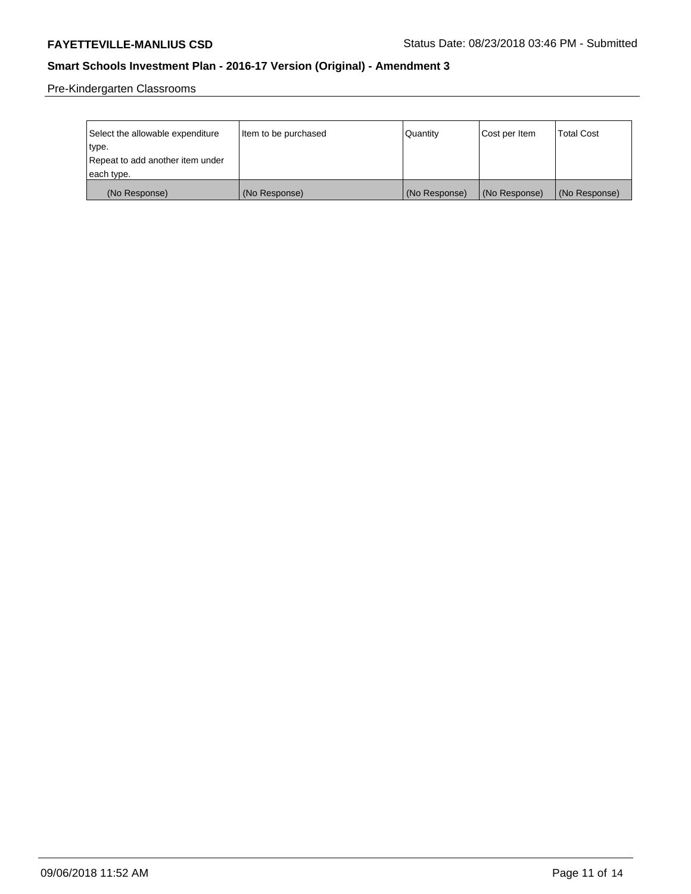Pre-Kindergarten Classrooms

| Select the allowable expenditure<br>type. | Item to be purchased | Quantity      | Cost per Item | <b>Total Cost</b> |
|-------------------------------------------|----------------------|---------------|---------------|-------------------|
| Repeat to add another item under          |                      |               |               |                   |
| each type.                                |                      |               |               |                   |
| (No Response)                             | (No Response)        | (No Response) | (No Response) | (No Response)     |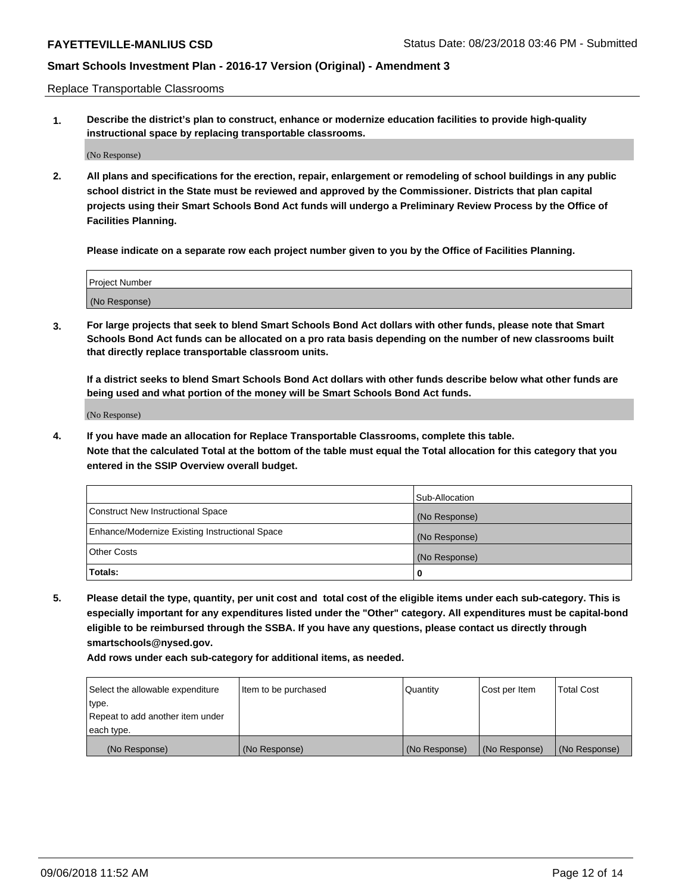Replace Transportable Classrooms

**1. Describe the district's plan to construct, enhance or modernize education facilities to provide high-quality instructional space by replacing transportable classrooms.**

(No Response)

**2. All plans and specifications for the erection, repair, enlargement or remodeling of school buildings in any public school district in the State must be reviewed and approved by the Commissioner. Districts that plan capital projects using their Smart Schools Bond Act funds will undergo a Preliminary Review Process by the Office of Facilities Planning.**

**Please indicate on a separate row each project number given to you by the Office of Facilities Planning.**

| Project Number |  |
|----------------|--|
|                |  |
| (No Response)  |  |

**3. For large projects that seek to blend Smart Schools Bond Act dollars with other funds, please note that Smart Schools Bond Act funds can be allocated on a pro rata basis depending on the number of new classrooms built that directly replace transportable classroom units.**

**If a district seeks to blend Smart Schools Bond Act dollars with other funds describe below what other funds are being used and what portion of the money will be Smart Schools Bond Act funds.**

(No Response)

**4. If you have made an allocation for Replace Transportable Classrooms, complete this table. Note that the calculated Total at the bottom of the table must equal the Total allocation for this category that you entered in the SSIP Overview overall budget.**

|                                                | Sub-Allocation |
|------------------------------------------------|----------------|
| Construct New Instructional Space              | (No Response)  |
| Enhance/Modernize Existing Instructional Space | (No Response)  |
| <b>Other Costs</b>                             | (No Response)  |
| Totals:                                        | 0              |

**5. Please detail the type, quantity, per unit cost and total cost of the eligible items under each sub-category. This is especially important for any expenditures listed under the "Other" category. All expenditures must be capital-bond eligible to be reimbursed through the SSBA. If you have any questions, please contact us directly through smartschools@nysed.gov.**

| Select the allowable expenditure | Item to be purchased | l Quantitv    | Cost per Item | <b>Total Cost</b> |
|----------------------------------|----------------------|---------------|---------------|-------------------|
| type.                            |                      |               |               |                   |
| Repeat to add another item under |                      |               |               |                   |
| each type.                       |                      |               |               |                   |
| (No Response)                    | (No Response)        | (No Response) | (No Response) | (No Response)     |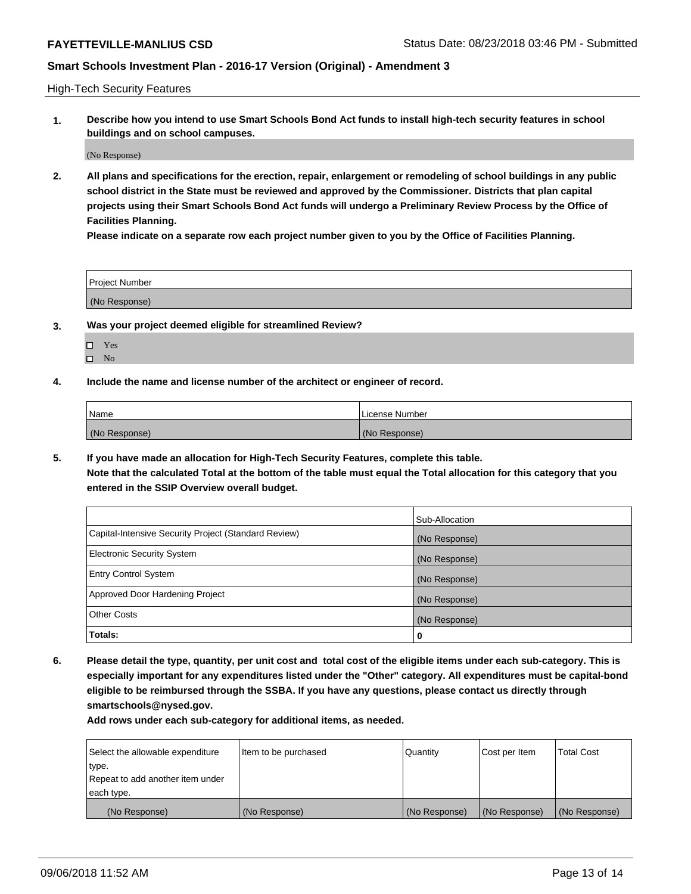High-Tech Security Features

**1. Describe how you intend to use Smart Schools Bond Act funds to install high-tech security features in school buildings and on school campuses.**

(No Response)

**2. All plans and specifications for the erection, repair, enlargement or remodeling of school buildings in any public school district in the State must be reviewed and approved by the Commissioner. Districts that plan capital projects using their Smart Schools Bond Act funds will undergo a Preliminary Review Process by the Office of Facilities Planning.** 

**Please indicate on a separate row each project number given to you by the Office of Facilities Planning.**

| <b>Project Number</b> |  |
|-----------------------|--|
| (No Response)         |  |

- **3. Was your project deemed eligible for streamlined Review?**
	- Yes
	- $\square$  No
- **4. Include the name and license number of the architect or engineer of record.**

| <b>Name</b>   | License Number |
|---------------|----------------|
| (No Response) | (No Response)  |

**5. If you have made an allocation for High-Tech Security Features, complete this table.**

**Note that the calculated Total at the bottom of the table must equal the Total allocation for this category that you entered in the SSIP Overview overall budget.**

|                                                      | Sub-Allocation |
|------------------------------------------------------|----------------|
| Capital-Intensive Security Project (Standard Review) | (No Response)  |
| <b>Electronic Security System</b>                    | (No Response)  |
| <b>Entry Control System</b>                          | (No Response)  |
| Approved Door Hardening Project                      | (No Response)  |
| <b>Other Costs</b>                                   | (No Response)  |
| Totals:                                              | 0              |

**6. Please detail the type, quantity, per unit cost and total cost of the eligible items under each sub-category. This is especially important for any expenditures listed under the "Other" category. All expenditures must be capital-bond eligible to be reimbursed through the SSBA. If you have any questions, please contact us directly through smartschools@nysed.gov.**

| Select the allowable expenditure | Item to be purchased | Quantity      | Cost per Item | <b>Total Cost</b> |
|----------------------------------|----------------------|---------------|---------------|-------------------|
| type.                            |                      |               |               |                   |
| Repeat to add another item under |                      |               |               |                   |
| each type.                       |                      |               |               |                   |
| (No Response)                    | (No Response)        | (No Response) | (No Response) | (No Response)     |